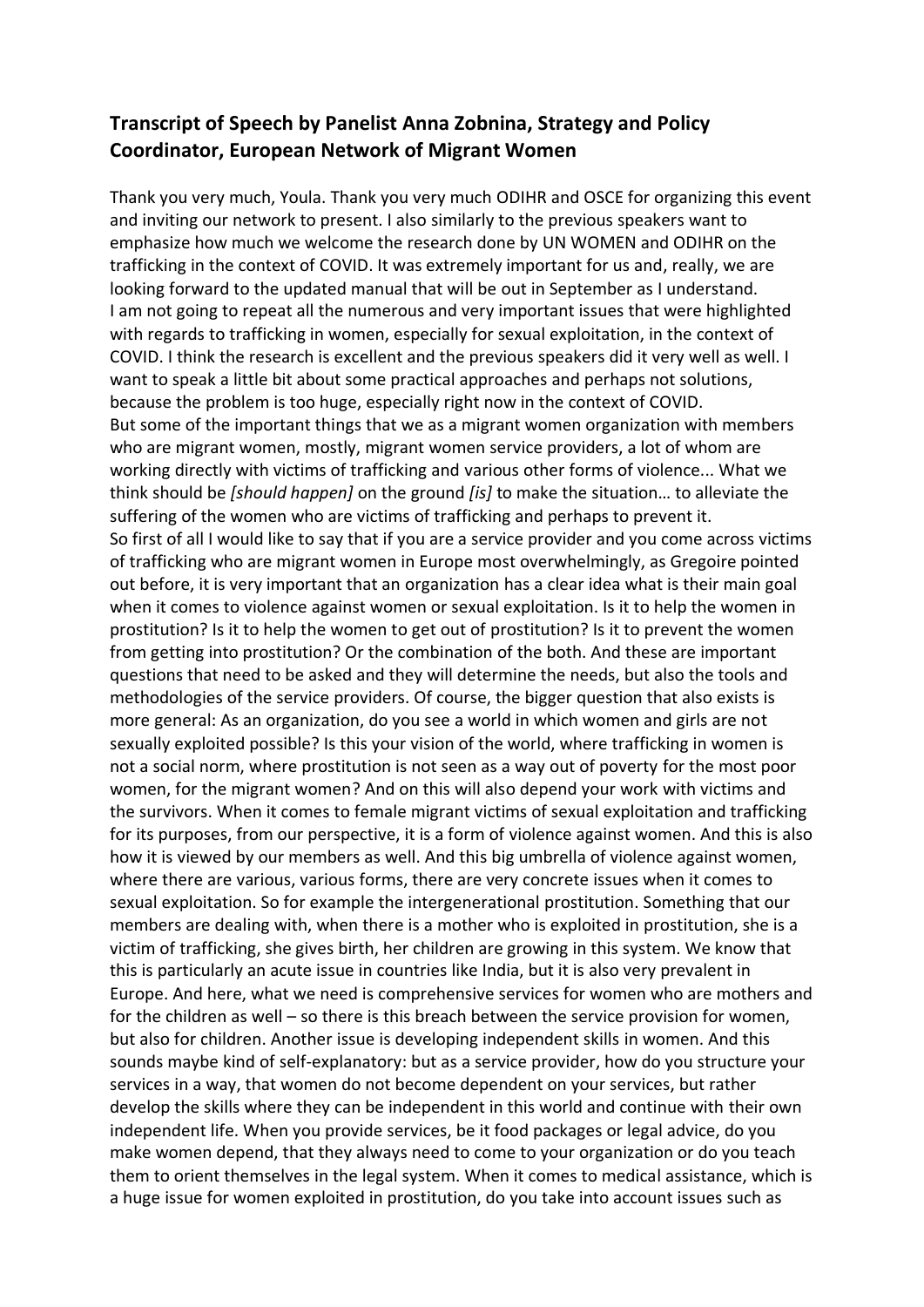## **Transcript of Speech by Panelist Anna Zobnina, Strategy and Policy Coordinator, European Network of Migrant Women**

Thank you very much, Youla. Thank you very much ODIHR and OSCE for organizing this event and inviting our network to present. I also similarly to the previous speakers want to emphasize how much we welcome the research done by UN WOMEN and ODIHR on the trafficking in the context of COVID. It was extremely important for us and, really, we are looking forward to the updated manual that will be out in September as I understand. I am not going to repeat all the numerous and very important issues that were highlighted with regards to trafficking in women, especially for sexual exploitation, in the context of COVID. I think the research is excellent and the previous speakers did it very well as well. I want to speak a little bit about some practical approaches and perhaps not solutions, because the problem is too huge, especially right now in the context of COVID. But some of the important things that we as a migrant women organization with members who are migrant women, mostly, migrant women service providers, a lot of whom are working directly with victims of trafficking and various other forms of violence... What we think should be *[should happen]* on the ground *[is]* to make the situation… to alleviate the suffering of the women who are victims of trafficking and perhaps to prevent it. So first of all I would like to say that if you are a service provider and you come across victims of trafficking who are migrant women in Europe most overwhelmingly, as Gregoire pointed out before, it is very important that an organization has a clear idea what is their main goal when it comes to violence against women or sexual exploitation. Is it to help the women in prostitution? Is it to help the women to get out of prostitution? Is it to prevent the women from getting into prostitution? Or the combination of the both. And these are important questions that need to be asked and they will determine the needs, but also the tools and methodologies of the service providers. Of course, the bigger question that also exists is more general: As an organization, do you see a world in which women and girls are not sexually exploited possible? Is this your vision of the world, where trafficking in women is not a social norm, where prostitution is not seen as a way out of poverty for the most poor women, for the migrant women? And on this will also depend your work with victims and the survivors. When it comes to female migrant victims of sexual exploitation and trafficking for its purposes, from our perspective, it is a form of violence against women. And this is also how it is viewed by our members as well. And this big umbrella of violence against women, where there are various, various forms, there are very concrete issues when it comes to sexual exploitation. So for example the intergenerational prostitution. Something that our members are dealing with, when there is a mother who is exploited in prostitution, she is a victim of trafficking, she gives birth, her children are growing in this system. We know that this is particularly an acute issue in countries like India, but it is also very prevalent in Europe. And here, what we need is comprehensive services for women who are mothers and for the children as well – so there is this breach between the service provision for women, but also for children. Another issue is developing independent skills in women. And this sounds maybe kind of self-explanatory: but as a service provider, how do you structure your services in a way, that women do not become dependent on your services, but rather develop the skills where they can be independent in this world and continue with their own independent life. When you provide services, be it food packages or legal advice, do you make women depend, that they always need to come to your organization or do you teach them to orient themselves in the legal system. When it comes to medical assistance, which is a huge issue for women exploited in prostitution, do you take into account issues such as